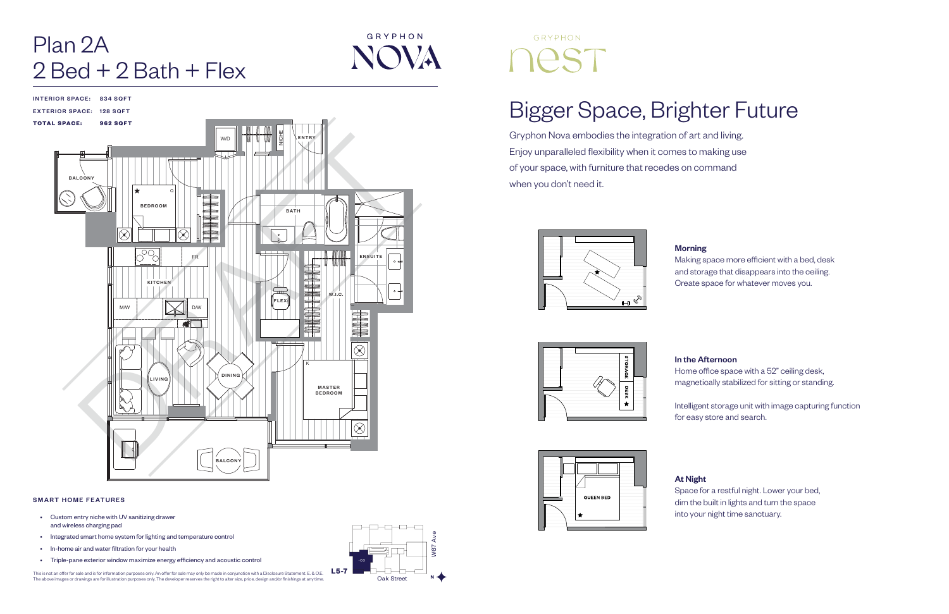## Bigger Space, Brighter Future

Gryphon Nova embodies the integration of art and living. Enjoy unparalleled flexibility when it comes to making use of your space, with furniture that recedes on command when you don't need it.









Making space more efficient with a bed, desk and storage that disappears into the ceiling. Create space for whatever moves you.

### In the Afternoon

# Plan 2A  $2$  Bed + 2 Bath + Flex

GRYPHON **NOVA** 

> Home office space with a 52" ceiling desk, magnetically stabilized for sitting or standing.

Intelligent storage unit with image capturing function for easy store and search.

At Night

Space for a restful night. Lower your bed, dim the built in lights and turn the space into your night time sanctuary.



# GRYPHON

### SMART HOME FEATURES

- Custom entry niche with UV sanitizing drawer and wireless charging pad
- Integrated smart home system for lighting and temperature control
- In-home air and water filtration for your health
- Triple-pane exterior window maximize energy efficiency and acoustic control

This is not an offer for sale and is for information purposes only. An offer for sale may only be made in conjunction with a Disclosure Statement. E. & O.E.<br>The above images or drawings are for illustration purposes only.

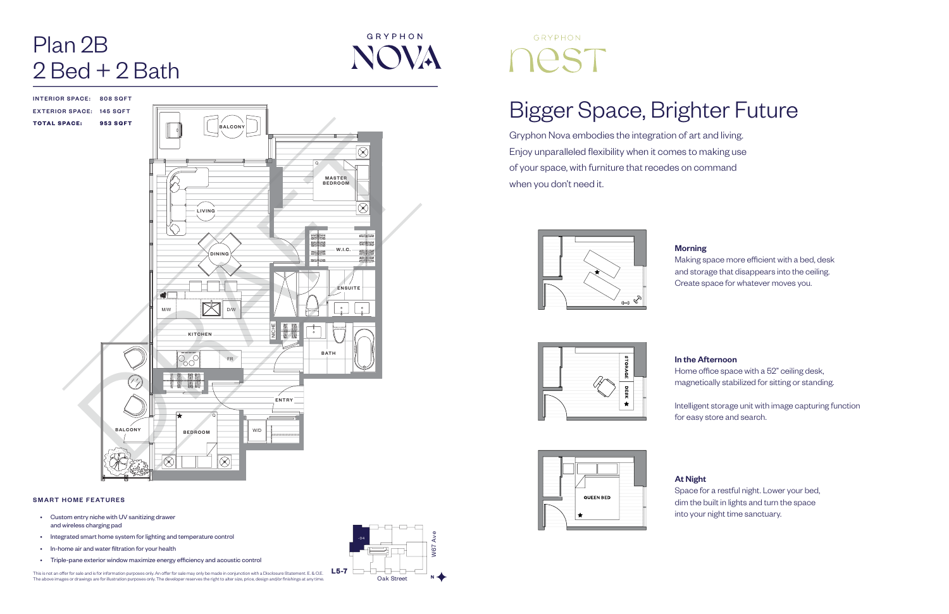## Bigger Space, Brighter Future

Gryphon Nova embodies the integration of art and living. Enjoy unparalleled flexibility when it comes to making use of your space, with furniture that recedes on command when you don't need it.







Making space more efficient with a bed, desk and storage that disappears into the ceiling. Create space for whatever moves you.

# Plan 2B  $2$  Bed +  $2$  Bath

INTERIOR SPACE: 808 SQFT EXTERIOR SPACE: 145 SQFT TOTAL SPACE: 953 SQFT

### In the Afternoon

Home office space with a 52" ceiling desk, magnetically stabilized for sitting or standing.

Intelligent storage unit with image capturing function for easy store and search.

At Night Space for a restful night. Lower your bed, dim the built in lights and turn the space into your night time sanctuary.

### SMART HOME FEATURES

- Custom entry niche with UV sanitizing drawer and wireless charging pad
- Integrated smart home system for lighting and temperature control
- In-home air and water filtration for your health
- Triple-pane exterior window maximize energy efficiency and acoustic control

This is not an offer for sale and is for information purposes only. An offer for sale may only be made in conjunction with a Disclosure Statement. E. & O.E.<br>The above images or drawings are for illustration purposes only.





GRYPHON

NOVA

# GRYPHON